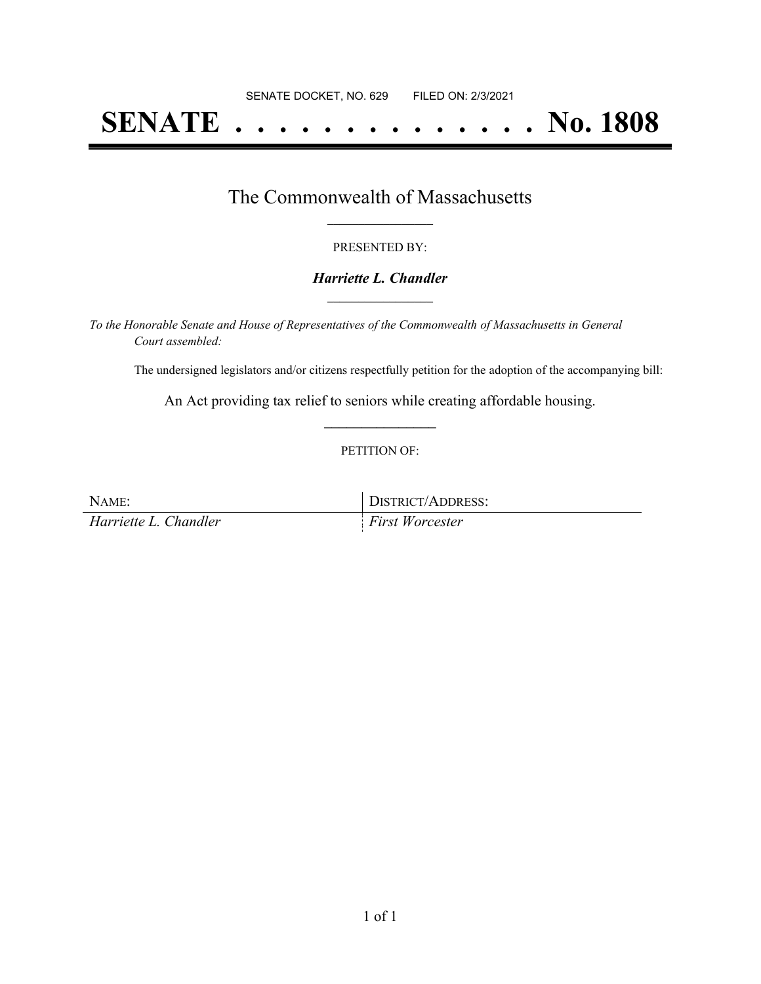# **SENATE . . . . . . . . . . . . . . No. 1808**

## The Commonwealth of Massachusetts **\_\_\_\_\_\_\_\_\_\_\_\_\_\_\_\_\_**

#### PRESENTED BY:

#### *Harriette L. Chandler* **\_\_\_\_\_\_\_\_\_\_\_\_\_\_\_\_\_**

*To the Honorable Senate and House of Representatives of the Commonwealth of Massachusetts in General Court assembled:*

The undersigned legislators and/or citizens respectfully petition for the adoption of the accompanying bill:

An Act providing tax relief to seniors while creating affordable housing. **\_\_\_\_\_\_\_\_\_\_\_\_\_\_\_**

#### PETITION OF:

| NAME:                 | DISTRICT/ADDRESS:      |
|-----------------------|------------------------|
| Harriette L. Chandler | <b>First Worcester</b> |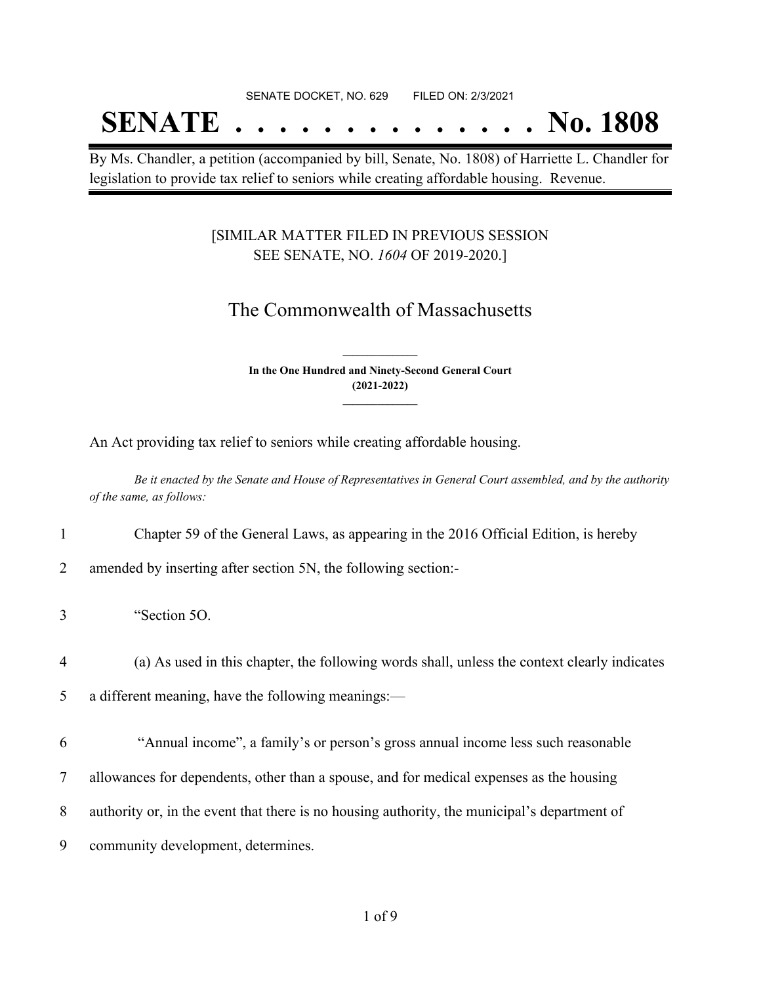#### SENATE DOCKET, NO. 629 FILED ON: 2/3/2021

## **SENATE . . . . . . . . . . . . . . No. 1808**

By Ms. Chandler, a petition (accompanied by bill, Senate, No. 1808) of Harriette L. Chandler for legislation to provide tax relief to seniors while creating affordable housing. Revenue.

#### [SIMILAR MATTER FILED IN PREVIOUS SESSION SEE SENATE, NO. *1604* OF 2019-2020.]

### The Commonwealth of Massachusetts

**In the One Hundred and Ninety-Second General Court (2021-2022) \_\_\_\_\_\_\_\_\_\_\_\_\_\_\_**

**\_\_\_\_\_\_\_\_\_\_\_\_\_\_\_**

An Act providing tax relief to seniors while creating affordable housing.

Be it enacted by the Senate and House of Representatives in General Court assembled, and by the authority *of the same, as follows:*

1 Chapter 59 of the General Laws, as appearing in the 2016 Official Edition, is hereby

2 amended by inserting after section 5N, the following section:-

3 "Section 5O.

4 (a) As used in this chapter, the following words shall, unless the context clearly indicates

5 a different meaning, have the following meanings:—

6 "Annual income", a family's or person's gross annual income less such reasonable

7 allowances for dependents, other than a spouse, and for medical expenses as the housing

- 8 authority or, in the event that there is no housing authority, the municipal's department of
- 9 community development, determines.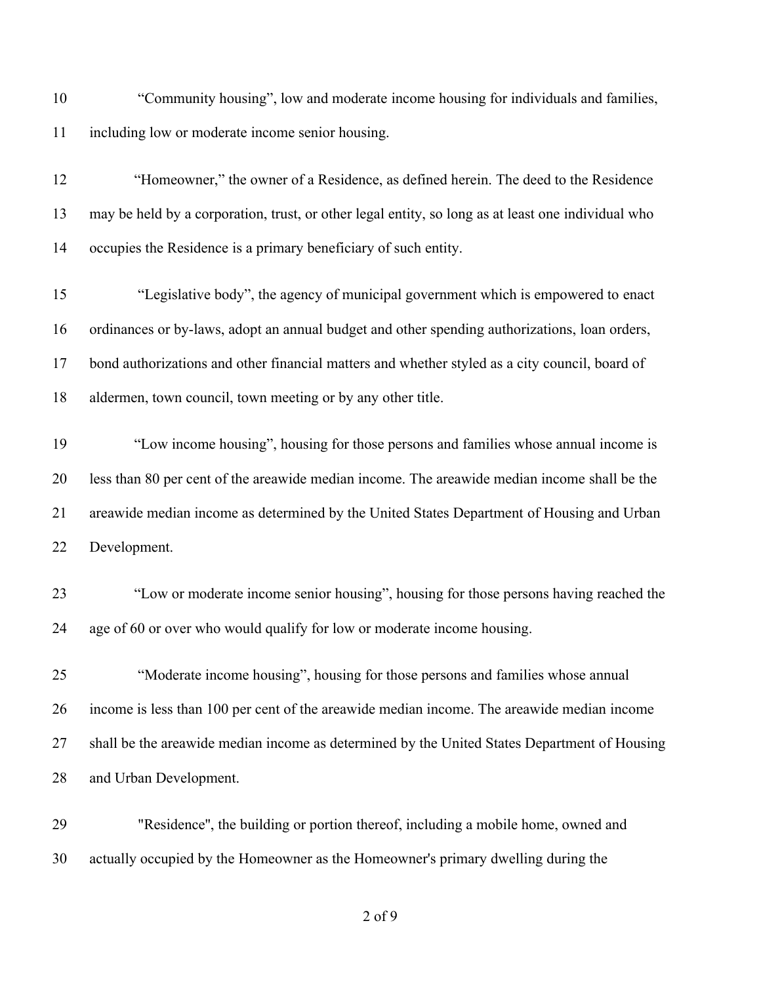| 10 | "Community housing", low and moderate income housing for individuals and families,                 |
|----|----------------------------------------------------------------------------------------------------|
| 11 | including low or moderate income senior housing.                                                   |
| 12 | "Homeowner," the owner of a Residence, as defined herein. The deed to the Residence                |
| 13 | may be held by a corporation, trust, or other legal entity, so long as at least one individual who |
| 14 | occupies the Residence is a primary beneficiary of such entity.                                    |
| 15 | "Legislative body", the agency of municipal government which is empowered to enact                 |
| 16 | ordinances or by-laws, adopt an annual budget and other spending authorizations, loan orders,      |
| 17 | bond authorizations and other financial matters and whether styled as a city council, board of     |
| 18 | aldermen, town council, town meeting or by any other title.                                        |
| 19 | "Low income housing", housing for those persons and families whose annual income is                |
| 20 | less than 80 per cent of the areawide median income. The areawide median income shall be the       |
| 21 | areawide median income as determined by the United States Department of Housing and Urban          |
| 22 | Development.                                                                                       |
| 23 | "Low or moderate income senior housing", housing for those persons having reached the              |
| 24 | age of 60 or over who would qualify for low or moderate income housing.                            |
| 25 | "Moderate income housing", housing for those persons and families whose annual                     |
| 26 | income is less than 100 per cent of the areawide median income. The areawide median income         |
| 27 | shall be the areawide median income as determined by the United States Department of Housing       |
| 28 | and Urban Development.                                                                             |
| 29 | "Residence", the building or portion thereof, including a mobile home, owned and                   |

actually occupied by the Homeowner as the Homeowner's primary dwelling during the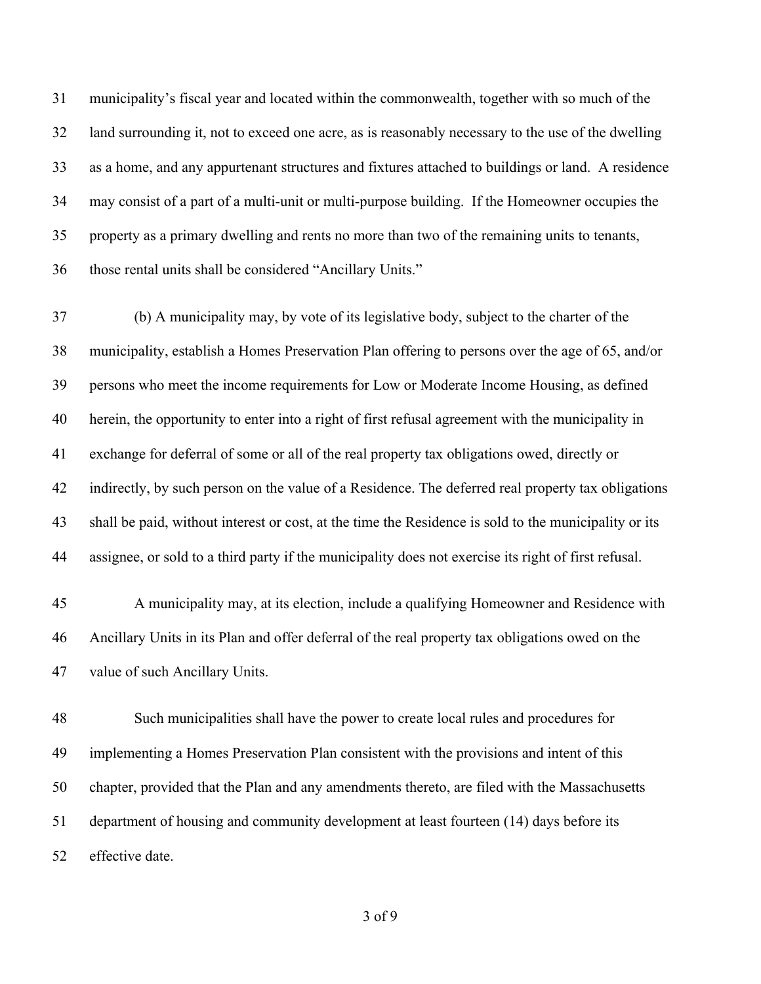municipality's fiscal year and located within the commonwealth, together with so much of the land surrounding it, not to exceed one acre, as is reasonably necessary to the use of the dwelling as a home, and any appurtenant structures and fixtures attached to buildings or land. A residence may consist of a part of a multi-unit or multi-purpose building. If the Homeowner occupies the property as a primary dwelling and rents no more than two of the remaining units to tenants, those rental units shall be considered "Ancillary Units."

 (b) A municipality may, by vote of its legislative body, subject to the charter of the municipality, establish a Homes Preservation Plan offering to persons over the age of 65, and/or persons who meet the income requirements for Low or Moderate Income Housing, as defined herein, the opportunity to enter into a right of first refusal agreement with the municipality in exchange for deferral of some or all of the real property tax obligations owed, directly or indirectly, by such person on the value of a Residence. The deferred real property tax obligations shall be paid, without interest or cost, at the time the Residence is sold to the municipality or its assignee, or sold to a third party if the municipality does not exercise its right of first refusal.

 A municipality may, at its election, include a qualifying Homeowner and Residence with Ancillary Units in its Plan and offer deferral of the real property tax obligations owed on the value of such Ancillary Units.

 Such municipalities shall have the power to create local rules and procedures for implementing a Homes Preservation Plan consistent with the provisions and intent of this chapter, provided that the Plan and any amendments thereto, are filed with the Massachusetts department of housing and community development at least fourteen (14) days before its effective date.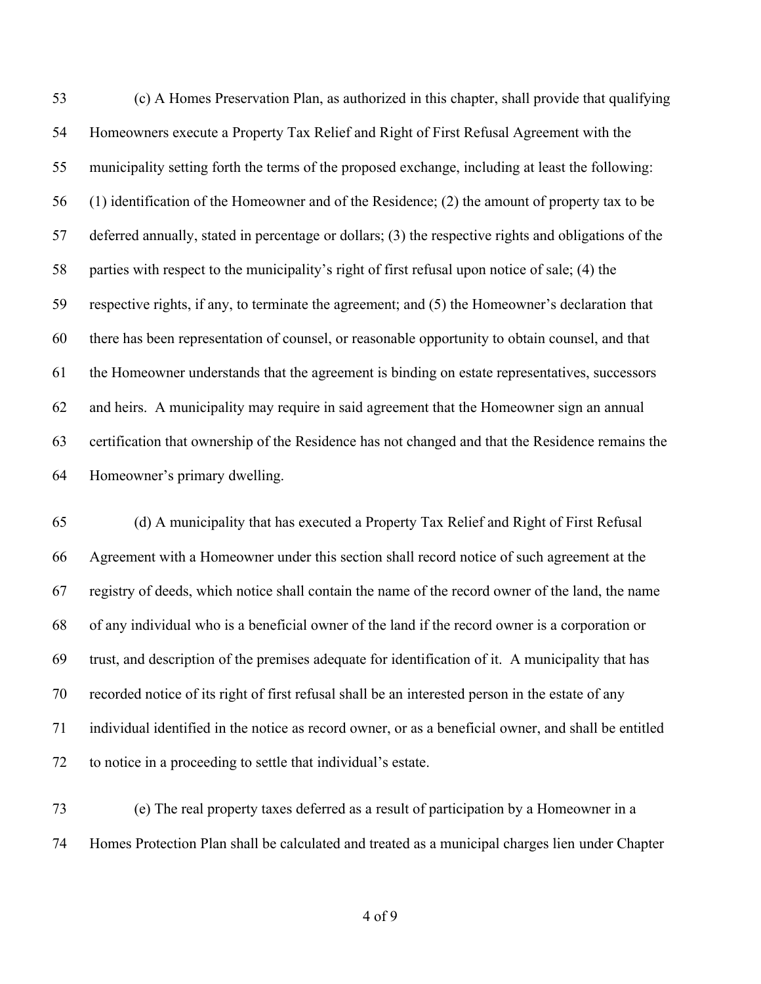(c) A Homes Preservation Plan, as authorized in this chapter, shall provide that qualifying Homeowners execute a Property Tax Relief and Right of First Refusal Agreement with the municipality setting forth the terms of the proposed exchange, including at least the following: (1) identification of the Homeowner and of the Residence; (2) the amount of property tax to be deferred annually, stated in percentage or dollars; (3) the respective rights and obligations of the parties with respect to the municipality's right of first refusal upon notice of sale; (4) the respective rights, if any, to terminate the agreement; and (5) the Homeowner's declaration that there has been representation of counsel, or reasonable opportunity to obtain counsel, and that the Homeowner understands that the agreement is binding on estate representatives, successors and heirs. A municipality may require in said agreement that the Homeowner sign an annual certification that ownership of the Residence has not changed and that the Residence remains the Homeowner's primary dwelling.

 (d) A municipality that has executed a Property Tax Relief and Right of First Refusal Agreement with a Homeowner under this section shall record notice of such agreement at the registry of deeds, which notice shall contain the name of the record owner of the land, the name of any individual who is a beneficial owner of the land if the record owner is a corporation or trust, and description of the premises adequate for identification of it. A municipality that has recorded notice of its right of first refusal shall be an interested person in the estate of any individual identified in the notice as record owner, or as a beneficial owner, and shall be entitled to notice in a proceeding to settle that individual's estate.

 (e) The real property taxes deferred as a result of participation by a Homeowner in a Homes Protection Plan shall be calculated and treated as a municipal charges lien under Chapter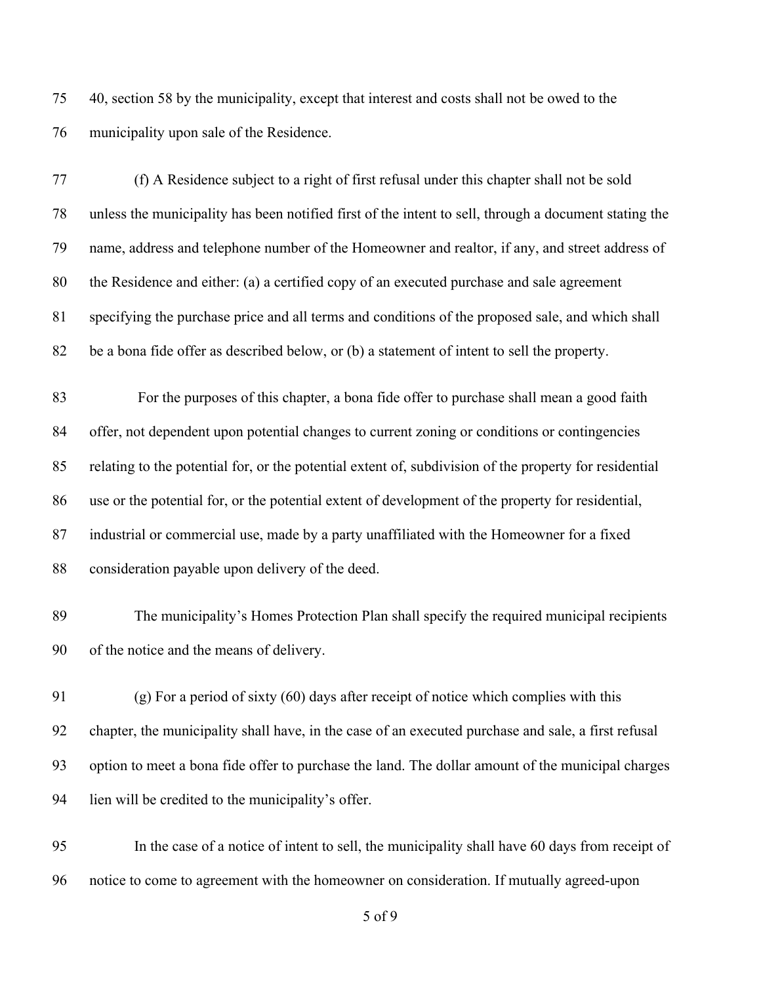40, section 58 by the municipality, except that interest and costs shall not be owed to the municipality upon sale of the Residence.

 (f) A Residence subject to a right of first refusal under this chapter shall not be sold unless the municipality has been notified first of the intent to sell, through a document stating the name, address and telephone number of the Homeowner and realtor, if any, and street address of the Residence and either: (a) a certified copy of an executed purchase and sale agreement specifying the purchase price and all terms and conditions of the proposed sale, and which shall be a bona fide offer as described below, or (b) a statement of intent to sell the property.

 For the purposes of this chapter, a bona fide offer to purchase shall mean a good faith offer, not dependent upon potential changes to current zoning or conditions or contingencies relating to the potential for, or the potential extent of, subdivision of the property for residential use or the potential for, or the potential extent of development of the property for residential, industrial or commercial use, made by a party unaffiliated with the Homeowner for a fixed consideration payable upon delivery of the deed.

 The municipality's Homes Protection Plan shall specify the required municipal recipients of the notice and the means of delivery.

 (g) For a period of sixty (60) days after receipt of notice which complies with this chapter, the municipality shall have, in the case of an executed purchase and sale, a first refusal option to meet a bona fide offer to purchase the land. The dollar amount of the municipal charges lien will be credited to the municipality's offer.

 In the case of a notice of intent to sell, the municipality shall have 60 days from receipt of notice to come to agreement with the homeowner on consideration. If mutually agreed-upon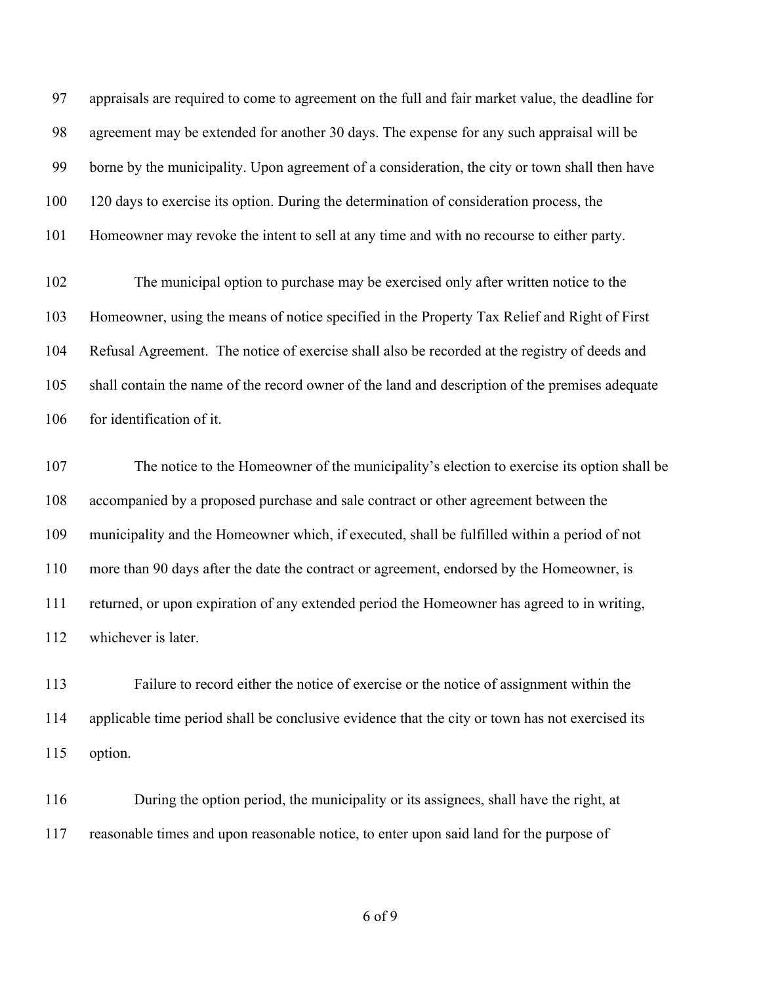appraisals are required to come to agreement on the full and fair market value, the deadline for agreement may be extended for another 30 days. The expense for any such appraisal will be borne by the municipality. Upon agreement of a consideration, the city or town shall then have 120 days to exercise its option. During the determination of consideration process, the Homeowner may revoke the intent to sell at any time and with no recourse to either party.

 The municipal option to purchase may be exercised only after written notice to the Homeowner, using the means of notice specified in the Property Tax Relief and Right of First Refusal Agreement. The notice of exercise shall also be recorded at the registry of deeds and shall contain the name of the record owner of the land and description of the premises adequate for identification of it.

 The notice to the Homeowner of the municipality's election to exercise its option shall be accompanied by a proposed purchase and sale contract or other agreement between the municipality and the Homeowner which, if executed, shall be fulfilled within a period of not more than 90 days after the date the contract or agreement, endorsed by the Homeowner, is returned, or upon expiration of any extended period the Homeowner has agreed to in writing, whichever is later.

 Failure to record either the notice of exercise or the notice of assignment within the applicable time period shall be conclusive evidence that the city or town has not exercised its option.

 During the option period, the municipality or its assignees, shall have the right, at reasonable times and upon reasonable notice, to enter upon said land for the purpose of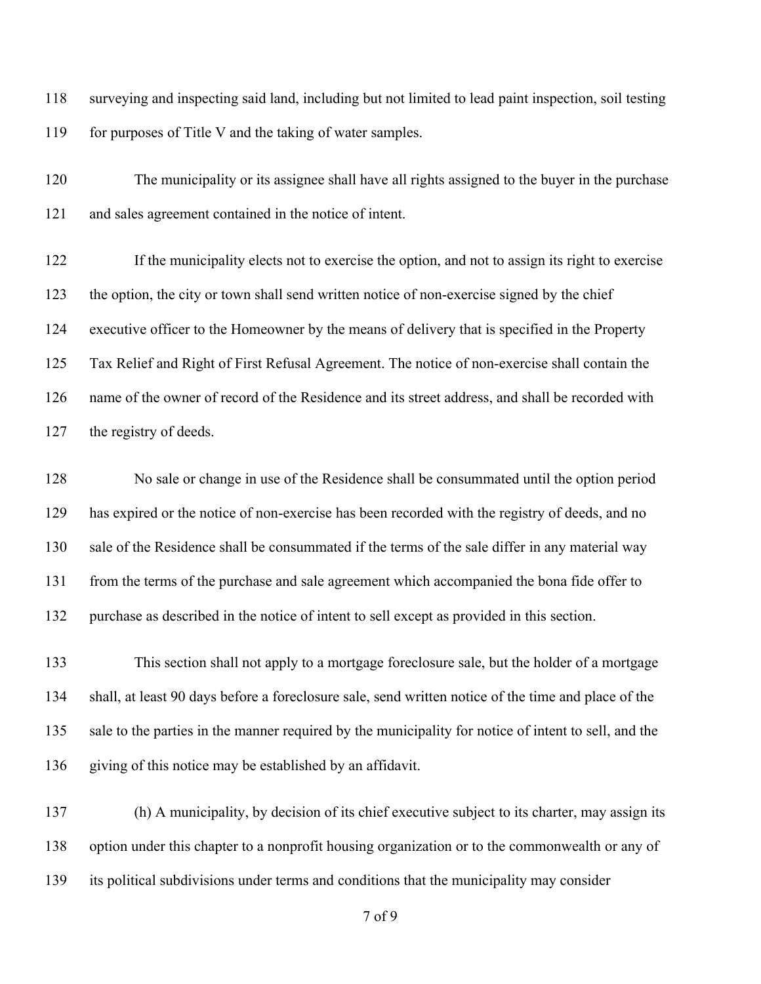surveying and inspecting said land, including but not limited to lead paint inspection, soil testing for purposes of Title V and the taking of water samples.

 The municipality or its assignee shall have all rights assigned to the buyer in the purchase and sales agreement contained in the notice of intent.

 If the municipality elects not to exercise the option, and not to assign its right to exercise the option, the city or town shall send written notice of non-exercise signed by the chief executive officer to the Homeowner by the means of delivery that is specified in the Property Tax Relief and Right of First Refusal Agreement. The notice of non-exercise shall contain the name of the owner of record of the Residence and its street address, and shall be recorded with the registry of deeds.

 No sale or change in use of the Residence shall be consummated until the option period has expired or the notice of non-exercise has been recorded with the registry of deeds, and no sale of the Residence shall be consummated if the terms of the sale differ in any material way from the terms of the purchase and sale agreement which accompanied the bona fide offer to purchase as described in the notice of intent to sell except as provided in this section.

 This section shall not apply to a mortgage foreclosure sale, but the holder of a mortgage shall, at least 90 days before a foreclosure sale, send written notice of the time and place of the 135 sale to the parties in the manner required by the municipality for notice of intent to sell, and the giving of this notice may be established by an affidavit.

 (h) A municipality, by decision of its chief executive subject to its charter, may assign its option under this chapter to a nonprofit housing organization or to the commonwealth or any of its political subdivisions under terms and conditions that the municipality may consider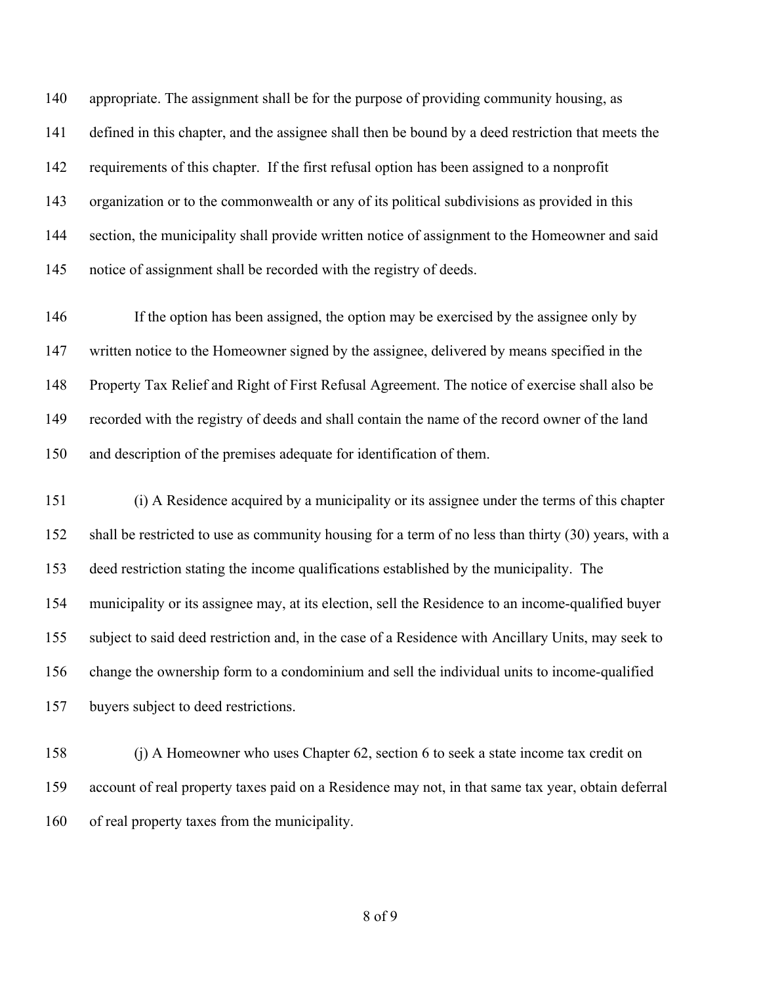140 appropriate. The assignment shall be for the purpose of providing community housing, as defined in this chapter, and the assignee shall then be bound by a deed restriction that meets the requirements of this chapter. If the first refusal option has been assigned to a nonprofit organization or to the commonwealth or any of its political subdivisions as provided in this 144 section, the municipality shall provide written notice of assignment to the Homeowner and said notice of assignment shall be recorded with the registry of deeds.

 If the option has been assigned, the option may be exercised by the assignee only by written notice to the Homeowner signed by the assignee, delivered by means specified in the Property Tax Relief and Right of First Refusal Agreement. The notice of exercise shall also be recorded with the registry of deeds and shall contain the name of the record owner of the land and description of the premises adequate for identification of them.

 (i) A Residence acquired by a municipality or its assignee under the terms of this chapter shall be restricted to use as community housing for a term of no less than thirty (30) years, with a deed restriction stating the income qualifications established by the municipality. The municipality or its assignee may, at its election, sell the Residence to an income-qualified buyer subject to said deed restriction and, in the case of a Residence with Ancillary Units, may seek to change the ownership form to a condominium and sell the individual units to income-qualified buyers subject to deed restrictions.

 (j) A Homeowner who uses Chapter 62, section 6 to seek a state income tax credit on account of real property taxes paid on a Residence may not, in that same tax year, obtain deferral of real property taxes from the municipality.